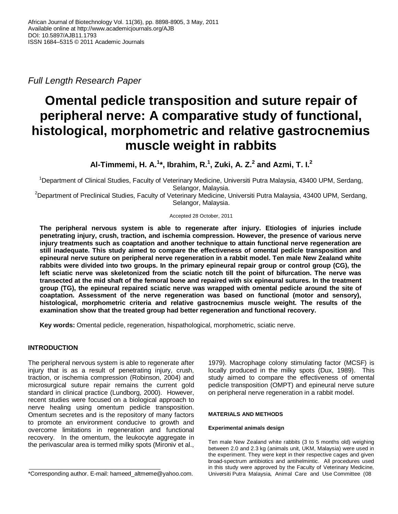*Full Length Research Paper*

# **Omental pedicle transposition and suture repair of peripheral nerve: A comparative study of functional, histological, morphometric and relative gastrocnemius muscle weight in rabbits**

**Al-Timmemi, H. A.<sup>1</sup> \*, Ibrahim, R.<sup>1</sup> , Zuki, A. Z.<sup>2</sup> and Azmi, T. I.<sup>2</sup>**

<sup>1</sup>Department of Clinical Studies, Faculty of Veterinary Medicine, Universiti Putra Malaysia, 43400 UPM, Serdang, Selangor, Malaysia.

<sup>2</sup>Department of Preclinical Studies, Faculty of Veterinary Medicine, Universiti Putra Malaysia, 43400 UPM, Serdang, Selangor, Malaysia.

## Accepted 28 October, 2011

**The peripheral nervous system is able to regenerate after injury. Etiologies of injuries include penetrating injury, crush, traction, and ischemia compression. However, the presence of various nerve injury treatments such as coaptation and another technique to attain functional nerve regeneration are still inadequate. This study aimed to compare the effectiveness of omental pedicle transposition and epineural nerve suture on peripheral nerve regeneration in a rabbit model. Ten male New Zealand white rabbits were divided into two groups. In the primary epineural repair group or control group (CG), the left sciatic nerve was skeletonized from the sciatic notch till the point of bifurcation. The nerve was transected at the mid shaft of the femoral bone and repaired with six epineural sutures. In the treatment group (TG), the epineural repaired sciatic nerve was wrapped with omental pedicle around the site of coaptation. Assessment of the nerve regeneration was based on functional (motor and sensory), histological, morphometric criteria and relative gastrocnemius muscle weight. The results of the examination show that the treated group had better regeneration and functional recovery.** 

**Key words:** Omental pedicle, regeneration, hispathological, morphometric, sciatic nerve.

# **INTRODUCTION**

The peripheral nervous system is able to regenerate after injury that is as a result of penetrating injury, crush, traction, or ischemia compression (Robinson, 2004) and microsurgical suture repair remains the current gold standard in clinical practice (Lundborg, 2000). However, recent studies were focused on a biological approach to nerve healing using omentum pedicle transposition. Omentum secretes and is the repository of many factors to promote an environment conducive to growth and overcome limitations in regeneration and functional recovery. In the omentum, the leukocyte aggregate in the perivascular area is termed milky spots (Mironiv et al.,

1979). Macrophage colony stimulating factor (MCSF) is locally produced in the milky spots (Dux, 1989). This study aimed to compare the effectiveness of omental pedicle transposition (OMPT) and epineural nerve suture on peripheral nerve regeneration in a rabbit model.

# **MATERIALS AND METHODS**

## **Experimental animals design**

Ten male New Zealand white rabbits (3 to 5 months old) weighing between 2.0 and 2.3 kg (animals unit, UKM, Malaysia) were used in the experiment. They were kept in their respective cages and given broad-spectrum antibiotics and antihelmintic. All procedures used in this study were approved by the Faculty of Veterinary Medicine, Universiti Putra Malaysia, Animal Care and Use Committee (08

<sup>\*</sup>Corresponding author. E-mail: hameed\_altmeme@yahoo.com.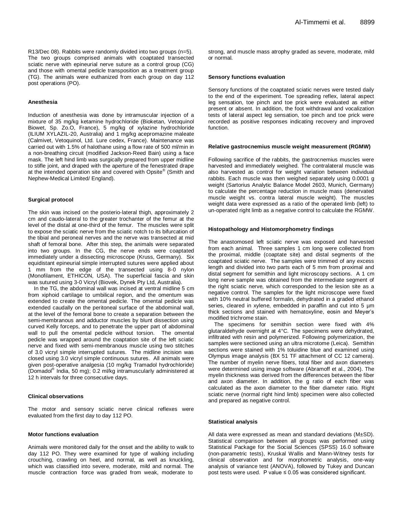R13/Dec 08). Rabbits were randomly divided into two groups (n=5). The two groups comprised animals with coaptated transected sciatic nerve with epineurial nerve suture as a control group (CG) and those with omental pedicle transposition as a treatment group (TG). The animals were euthanized from each group on day 112 post operations (PO).

#### **Anesthesia**

Induction of anesthesia was done by intramuscular injection of a mixture of 35 mg/kg ketamine hydrochloride (Bioketan, Vetoquinol Biowet, Sp. Zo.O, France), 5 mg/kg of xylazine hydrochloride (ILIUM XYLAZIL-20, Australia) and 1 mg/kg acepromazine maleate (Calmivet, Vetoquinol, Ltd. Lure cedex, France). Maintenance was carried out with 1.5% of halothane using a flow rate of 500 ml/min in a non-breathing circuit (modified Jackson-Reed Bain) using a face mask. The left hind limb was surgically prepared from upper midline to stifle joint, and draped with the aperture of the fenestrated drape at the intended operation site and covered with Opsite® (Smith and Nephew-Medical Limited/ England).

#### **Surgical protocol**

The skin was incised on the posterio-lateral thigh, approximately 2 cm and caudo-lateral to the greater trochanter of the femur at the level of the distal at one-third of the femur. The muscles were split to expose the sciatic nerve from the sciatic notch to its bifurcation of the tibial and peroneal nerves and the nerve was transected at mid shaft of femoral bone. After this step, the animals were separated into two groups. In the CG, the nerve ends were coaptated immediately under a dissecting microscope (Kruss, Germany). Six equidistant epineurial simple interrupted sutures were applied about 1 mm from the edge of the transected using 8-0 nylon (Monofilament, ETHICON, USA). The superficial fascia and skin was sutured using 3-0 Vicryl (Biovek, Dynek Pty Ltd, Australia).

In the TG, the abdominal wall was incised at ventral midline 5 cm from xiphoid cartilage to umbilical region, and the omentum was extended to create the omental pedicle. The omental pedicle was extended caudally on the peritoneal surface of the abdominal wall, at the level of the femoral bone to create a separation between the semi-membranous and adductor muscles by blunt dissection using curved Kelly forceps, and to penetrate the upper part of abdominal wall to pull the omental pedicle without torsion. The omental pedicle was wrapped around the coaptation site of the left sciatic nerve and fixed with semi-membranous muscle using two stitches of 3.0 vicryl simple interrupted sutures. The midline incision was closed using 3.0 vicryl simple continuous sutures. All animals were given post-operative analgesia (10 mg/kg Tramadol hydrochloride) (Domadol® India, 50 mg); 0.2 ml/kg intramuscularly administered at 12 h intervals for three consecutive days.

#### **Clinical observations**

The motor and sensory sciatic nerve clinical reflexes were evaluated from the first day to day 112 PO.

#### **Motor functions evaluation**

Animals were monitored daily for the onset and the ability to walk to day 112 PO. They were examined for type of walking including crouching, crawling on heel, and normal, as well as knuckling, which was classified into severe, moderate, mild and normal. The muscle contraction force was graded from weak, moderate to

strong, and muscle mass atrophy graded as severe, moderate, mild or normal.

#### **Sensory functions evaluation**

Sensory functions of the coaptated sciatic nerves were tested daily to the end of the experiment. Toe spreading reflex, lateral aspect leg sensation, toe pinch and toe prick were evaluated as either present or absent. In addition, the foot withdrawal and vocalization tests of lateral aspect leg sensation, toe pinch and toe prick were recorded as positive responses indicating recovery and improved function.

#### **Relative gastrocnemius muscle weight measurement (RGMW)**

Following sacrifice of the rabbits, the gastrocnemius muscles were harvested and immediately weighed. The contralateral muscle was also harvested as control for weight variation between individual rabbits. Each muscle was then weighed separately using 0.0001 g weight (Sartorius Analytic Balance Model 2603, Munich, Germany) to calculate the percentage reduction in muscle mass (denervated muscle weight vs. contra lateral muscle weight). The muscles weight data were expressed as a ratio of the operated limb (left) to un-operated right limb as a negative control to calculate the RGMW.

#### **Histopathology and Histomorphometry findings**

The anastomosed left sciatic nerve was exposed and harvested from each animal. Three samples 1 cm long were collected from the proximal, middle (coaptate site) and distal segments of the coaptated sciatic nerve. The samples were trimmed of any excess length and divided into two parts each of 5 mm from proximal and distal segment for semithin and light microscopy sections. A 1 cm long nerve sample was obtained from the intermediate segment of the right sciatic nerve, which corresponded to the lesion site as a negative control. The samples for the light microscope were fixed with 10% neutral buffered formalin, dehydrated in a graded ethanol series, cleared in xylene, embedded in paraffin and cut into 5  $\mu$ m thick sections and stained with hematoxyline, eosin and Meyer's modified trichrome stain.

The specimens for semithin section were fixed with 4% glutaraldehyde overnight at 4°C. The specimens were dehydrated, infiltrated with resin and polymerized. Following polymerization, the samples were sectioned using an ultra microtome (Leica). Semithin sections were stained with 1% toluidine blue and examined using Olympus image analysis (BX 51 TF attachment of CC 12 camera). The number of myelin nerve fibers, total fiber and axon diameters were determined using image software (Abramoff et al., 2004). The myelin thickness was derived from the differences between the fiber and axon diameter. In addition, the g ratio of each fiber was calculated as the axon diameter to the fiber diameter ratio. Right sciatic nerve (normal right hind limb) specimen were also collected and prepared as negative control.

#### **Statistical analysis**

All data were expressed as mean and standard deviations (M±SD). Statistical comparison between all groups was performed using Statistical Package for the Social Sciences (SPSS) 16.0 software (non-parametric tests), Kruskal Wallis and Mann-Witney tests for clinical observation and for morphometric analysis, one-way analysis of variance test (ANOVA), followed by Tukey and Duncan post tests were used. P value ≤ 0.05 was considered significant.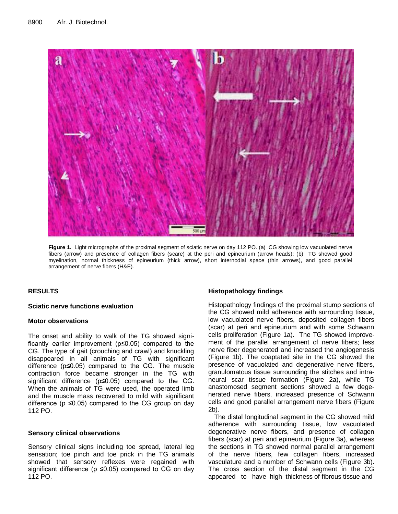

**Figure 1.** Light micrographs of the proximal segment of sciatic nerve on day 112 PO. (a) CG showing low vacuolated nerve fibers (arrow) and presence of collagen fibers (scare) at the peri and epineurium (arrow heads); (b) TG showed good myelination, normal thickness of epineurium (thick arrow), short internodial space (thin arrows), and good parallel arrangement of nerve fibers (H&E).

# **RESULTS**

## **Sciatic nerve functions evaluation**

# **Motor observations**

The onset and ability to walk of the TG showed significantly earlier improvement (p≤0.05) compared to the CG. The type of gait (crouching and crawl) and knuckling disappeared in all animals of TG with significant difference (p≤0.05) compared to the CG. The muscle contraction force became stronger in the TG with significant difference (p≤0.05) compared to the CG. When the animals of TG were used, the operated limb and the muscle mass recovered to mild with significant difference ( $p \le 0.05$ ) compared to the CG group on day 112 PO.

# **Sensory clinical observations**

Sensory clinical signs including toe spread, lateral leg sensation; toe pinch and toe prick in the TG animals showed that sensory reflexes were regained with significant difference ( $p \le 0.05$ ) compared to CG on day 112 PO.

# **Histopathology findings**

Histopathology findings of the proximal stump sections of the CG showed mild adherence with surrounding tissue, low vacuolated nerve fibers, deposited collagen fibers (scar) at peri and epineurium and with some Schwann cells proliferation (Figure 1a). The TG showed improvement of the parallel arrangement of nerve fibers; less nerve fiber degenerated and increased the angiogenesis (Figure 1b). The coaptated site in the CG showed the presence of vacuolated and degenerative nerve fibers, granulomatous tissue surrounding the stitches and intraneural scar tissue formation (Figure 2a), while TG anastomosed segment sections showed a few degenerated nerve fibers, increased presence of Schwann cells and good parallel arrangement nerve fibers (Figure 2b).

The distal longitudinal segment in the CG showed mild adherence with surrounding tissue, low vacuolated degenerative nerve fibers, and presence of collagen fibers (scar) at peri and epineurium (Figure 3a), whereas the sections in TG showed normal parallel arrangement of the nerve fibers, few collagen fibers, increased vasculature and a number of Schwann cells (Figure 3b). The cross section of the distal segment in the CG appeared to have high thickness of fibrous tissue and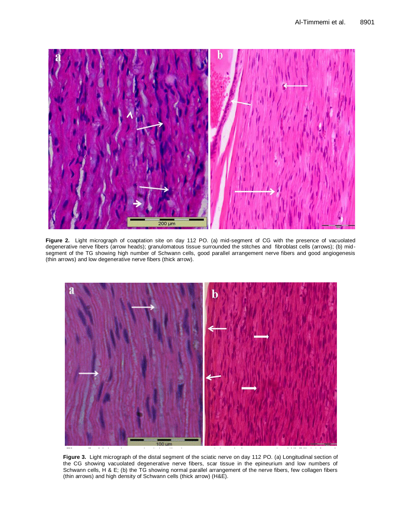

**Figure 2**: Light micrograph of coaptation site on day 112 PO (a) Mid-segment of CG was degenerative nerve fibers (arrow heads); granulomatous tissue surrounded the stitches and fibroblast cells (arrows); (b) midbeginerated and the versioning ingit number of editional dels, good parallel arrangement nerver<br>(thin arrows) and low degenerative nerve fibers (thick arrow). **Figure 2.** Light micrograph of coaptation site on day 112 PO. (a) mid-segment of CG with the presence of vacuolated segment of the TG showing high number of Schwann cells, good parallel arrangement nerve fibers and good angiogenesis



Figure 3. Light micrograph of the distal segment of the sciatic nerve on day 112 PO. (a) Longitudinal section of the CG showing vacuolated degenerative nerve fibers, scar tissue in the epineurium and low numbers of<br>Sebwann cells. H.& E: (b) the TG showing nermal parallel arrangement of the nerve fibers fow cellggen fibers the nerve fibers, few collagen fibers (thin arrows) and high density of Schwann cells (thick (thin arrows) and high density of Schwann cells (thick arrow) (H&E). arrow). H&E. Schwann cells, H & E; (b) the TG showing normal parallel arrangement of the nerve fibers, few collagen fibers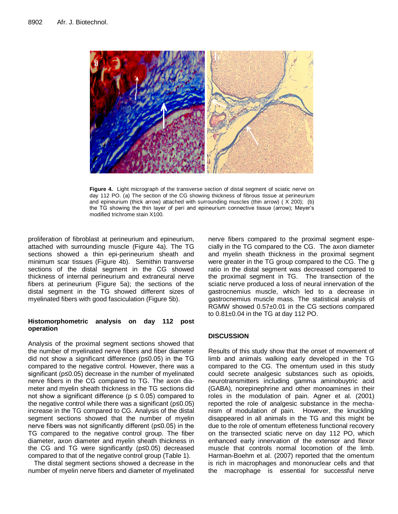

the TG showing the thin layer of peri and epineurium connective tissue (arrow); Meyer's **Figure 4.** Light micrograph of the transverse section of distal segment of sciatic nerve on day 112 PO. (a) The section of the CG showing thickness of fibrous tissue at perineurium and epineurium (thick arrow) attached with surrounding muscles (thin arrow) ( X 200); (b) modified trichrome stain X100.

proliferation of fibroblast at perineurium and epineurium, attached with surrounding muscle (Figure 4a). The TG sections showed a thin epi-perineurium sheath and minimum scar tissues (Figure 4b). Semithin transverse sections of the distal segment in the CG showed thickness of internal perineurium and extraneural nerve fibers at perineurium (Figure 5a); the sections of the distal segment in the TG showed different sizes of myelinated fibers with good fasciculation (Figure 5b).

# **Histomorphometric analysis on day 112 post operation**

Analysis of the proximal segment sections showed that the number of myelinated nerve fibers and fiber diameter did not show a significant difference (p≤0.05) in the TG compared to the negative control. However, there was a significant (p≤0.05) decrease in the number of myelinated nerve fibers in the CG compared to TG. The axon diameter and myelin sheath thickness in the TG sections did not show a significant difference ( $p \le 0.05$ ) compared to the negative control while there was a significant (p≤0.05) increase in the TG compared to CG. Analysis of the distal segment sections showed that the number of myelin nerve fibers was not significantly different (p≤0.05) in the TG compared to the negative control group. The fiber diameter, axon diameter and myelin sheath thickness in the CG and TG were significantly (p≤0.05) decreased compared to that of the negative control group (Table 1).

The distal segment sections showed a decrease in the number of myelin nerve fibers and diameter of myelinated nerve fibers compared to the proximal segment especially in the TG compared to the CG. The axon diameter and myelin sheath thickness in the proximal segment were greater in the TG group compared to the CG. The g ratio in the distal segment was decreased compared to the proximal segment in TG. The transection of the sciatic nerve produced a loss of neural innervation of the gastrocnemius muscle, which led to a decrease in gastrocnemius muscle mass. The statistical analysis of RGMW showed 0.57±0.01 in the CG sections compared to 0.81±0.04 in the TG at day 112 PO.

# **DISCUSSION**

Results of this study show that the onset of movement of limb and animals walking early developed in the TG compared to the CG. The omentum used in this study could secrete analgesic substances such as opioids, neurotransmitters including gamma aminobuytric acid (GABA), norepinephrine and other monoamines in their roles in the modulation of pain. Agner et al. (2001) reported the role of analgesic substance in the mechanism of modulation of pain. However, the knuckling disappeared in all animals in the TG and this might be due to the role of omentum effeteness functional recovery on the transected sciatic nerve on day 112 PO, which enhanced early innervation of the extensor and flexor muscle that controls normal locomotion of the limb. Harman-Boehm et al. (2007) reported that the omentum is rich in macrophages and mononuclear cells and that the macrophage is essential for successful nerve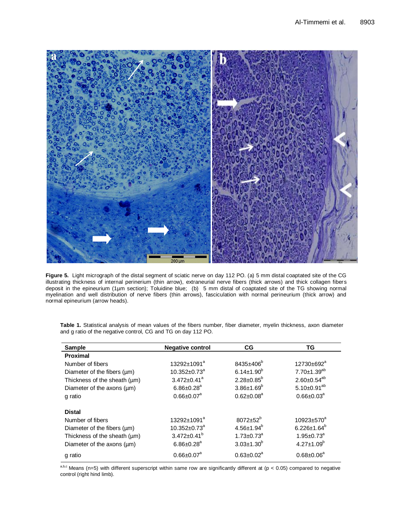

**Figure 5.** Light micrograph of the distal segment of sciatic nerve on day 112 PO. (a) 5 mm distal coaptated site of the CG illustrating thickness of internal perinerium (thin arrow), extraneurial nerve fibers (thick arrows) and thick collagen fibers deposit in the epineurium (1µm section); Toluidine blue; (b) 5 mm distal of coaptated site of the TG showing normal myelination and well distribution of nerve fibers (thin arrows), fasciculation with normal perineurium (thick arrow) and normal epineurium (arrow heads).

| <b>Sample</b>                     | <b>Negative control</b>      | CG                           | TG                      |
|-----------------------------------|------------------------------|------------------------------|-------------------------|
| <b>Proximal</b>                   |                              |                              |                         |
| Number of fibers                  | 13292±1091 <sup>a</sup>      | $8435+406^{6}$               | 12730±692 <sup>a</sup>  |
| Diameter of the fibers $(\mu m)$  | $10.352 \pm 0.73^a$          | $6.14 \pm 1.90^b$            | 7.70±1.39 <sup>ab</sup> |
| Thickness of the sheath (µm)      | $3.472 \pm 0.41^a$           | $2.28 \pm 0.85^b$            | $2.60 \pm 0.54^{ab}$    |
| Diameter of the axons (µm)        | $6.86 \pm 0.28$ <sup>a</sup> | $3.86{\pm}1.69^b$            | $5.10 \pm 0.91^{ab}$    |
| g ratio                           | $0.66 \pm 0.07^a$            | $0.62 \pm 0.08^a$            | $0.66 \pm 0.03^a$       |
|                                   |                              |                              |                         |
| <b>Distal</b>                     |                              |                              |                         |
| Number of fibers                  | $13292 \pm 1091^a$           | $8072 \pm 52^{b}$            | 10923±570 <sup>a</sup>  |
| Diameter of the fibers $(\mu m)$  | $10.352 \pm 0.73^a$          | $4.56 \pm 1.94^b$            | $6.226 \pm 1.64^b$      |
| Thickness of the sheath $(\mu m)$ | $3.472 \pm 0.41^b$           | $1.73 \pm 0.73$ <sup>a</sup> | $1.95 \pm 0.73^a$       |
| Diameter of the axons (µm)        | $6.86 \pm 0.28$ <sup>a</sup> | $3.03 \pm 1.30$ <sup>b</sup> | $4.27 \pm 1.09^b$       |
| g ratio                           | $0.66 \pm 0.07$ <sup>a</sup> | $0.63 \pm 0.02^a$            | $0.68 \pm 0.06^a$       |

Table 1. Statistical analysis of mean values of the fibers number, fiber diameter, myelin thickness, axon diameter<br>and g ratio of the negative control. CG and TG on day 112 PO and g ratio of the negative control, CG and TG on day 112 PO.

a,b,c Means (n=5) with different superscript within same row are significantly different at (p < 0.05) compared to negative control (right hind limb).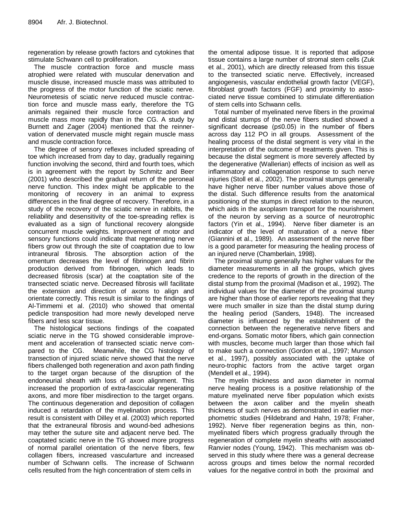regeneration by release growth factors and cytokines that stimulate Schwann cell to proliferation.

The muscle contraction force and muscle mass atrophied were related with muscular denervation and muscle disuse, increased muscle mass was attributed to the progress of the motor function of the sciatic nerve. Neurometesis of sciatic nerve reduced muscle contraction force and muscle mass early, therefore the TG animals regained their muscle force contraction and muscle mass more rapidly than in the CG. A study by Burnett and Zager (2004) mentioned that the reinnervation of denervated muscle might regain muscle mass and muscle contraction force.

The degree of sensory reflexes included spreading of toe which increased from day to day, gradually regaining function involving the second, third and fourth toes, which is in agreement with the report by Schmitz and Beer (2001) who described the gradual return of the peroneal nerve function. This index might be applicable to the monitoring of recovery in an animal to express differences in the final degree of recovery. Therefore, in a study of the recovery of the sciatic nerve in rabbits, the reliability and desensitivity of the toe-spreading reflex is evaluated as a sign of functional recovery alongside concurrent muscle weights. Improvement of motor and sensory functions could indicate that regenerating nerve fibers grow out through the site of coaptation due to low intraneural fibrosis. The absorption action of the omentum decreases the level of fibrinogen and fibrin production derived from fibrinogen, which leads to decreased fibrosis (scar) at the coaptation site of the transected sciatic nerve. Decreased fibrosis will facilitate the extension and direction of axons to align and orientate correctly. This result is similar to the findings of Al-Timmemi et al. (2010) who showed that omental pedicle transposition had more newly developed nerve fibers and less scar tissue.

The histological sections findings of the coapated sciatic nerve in the TG showed considerable improvement and acceleration of transected sciatic nerve compared to the CG. Meanwhile, the CG histology of transection of injured sciatic nerve showed that the nerve fibers challenged both regeneration and axon path finding to the target organ because of the disruption of the endoneurial sheath with loss of axon alignment. This increased the proportion of extra-fascicular regenerating axons, and more fiber misdirection to the target organs. The continuous degeneration and deposition of collagen induced a retardation of the myelination process. This result is consistent with Dilley et al. (2003) which reported that the extraneural fibrosis and wound-bed adhesions may tether the suture site and adjacent nerve bed. The coaptated sciatic nerve in the TG showed more progress of normal parallel orientation of the nerve fibers, few collagen fibers, increased vascularture and increased number of Schwann cells. The increase of Schwann cells resulted from the high concentration of stem cells in

the omental adipose tissue. It is reported that adipose tissue contains a large number of stromal stem cells (Zuk et al., 2001), which are directly released from this tissue to the transected sciatic nerve. Effectively, increased angiogenesis, vascular endothelial growth factor (VEGF), fibroblast growth factors (FGF) and proximity to associated nerve tissue combined to stimulate differentiation of stem cells into Schwann cells.

Total number of myelinated nerve fibers in the proximal and distal stumps of the nerve fibers studied showed a significant decrease (p≤0.05) in the number of fibers across day 112 PO in all groups. Assessment of the healing process of the distal segment is very vital in the interpretation of the outcome of treatments given. This is because the distal segment is more severely affected by the degenerative (Wallerian) effects of incision as well as inflammatory and collagenation response to such nerve injuries (Stoll et al., 2002). The proximal stumps generally have higher nerve fiber number values above those of the distal. Such difference results from the anatomical positioning of the stumps in direct relation to the neuron, which aids in the axoplasm transport for the nourishment of the neuron by serving as a source of neurotrophic factors (Yin et al., 1994). Nerve fiber diameter is an indicator of the level of maturation of a nerve fiber (Giannini et al., 1989). An assessment of the nerve fiber is a good parameter for measuring the healing process of an injured nerve (Chamberlain, 1998).

The proximal stump generally has higher values for the diameter measurements in all the groups, which gives credence to the reports of growth in the direction of the distal stump from the proximal (Madison et al., 1992). The individual values for the diameter of the proximal stump are higher than those of earlier reports revealing that they were much smaller in size than the distal stump during the healing period (Sanders, 1948). The increased diameter is influenced by the establishment of the connection between the regenerative nerve fibers and end-organs. Somatic motor fibers, which gain connection with muscles, become much larger than those which fail to make such a connection (Gordon et al., 1997; Munson et al., 1997), possibly associated with the uptake of neuro-trophic factors from the active target organ (Mendell et al., 1994).

The myelin thickness and axon diameter in normal nerve healing process is a positive relationship of the mature myelinated nerve fiber population which exists between the axon caliber and the myelin sheath thickness of such nerves as demonstrated in earlier morphometric studies (Hildebrand and Hahn, 1978; Fraher, 1992). Nerve fiber regeneration begins as thin, nonmyelinated fibers which progress gradually through the regeneration of complete myelin sheaths with associated Ranvier nodes (Young, 1942). This mechanism was observed in this study where there was a general decrease across groups and times below the normal recorded values for the negative control in both the proximal and